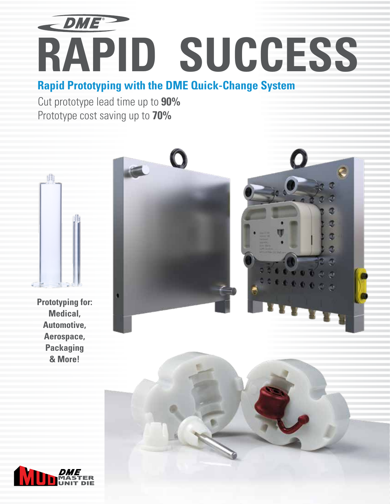

# **RAPID SUCCESS**

**Rapid Prototyping with the DME Quick-Change System**

Cut prototype lead time up to **90%** Prototype cost saving up to **70%**



**Prototyping for: Medical, Automotive, Aerospace, Packaging & More!**



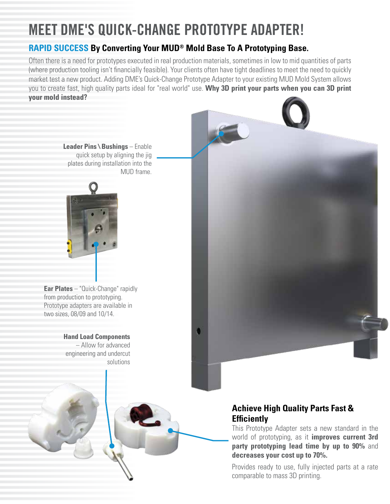## **MEET DME'S QUICK-CHANGE PROTOTYPE ADAPTER!**

### **RAPID SUCCESS By Converting Your MUD® Mold Base To A Prototyping Base.**

Often there is a need for prototypes executed in real production materials, sometimes in low to mid quantities of parts (where production tooling isn't financially feasible). Your clients often have tight deadlines to meet the need to quickly market test a new product. Adding DME's Quick-Change Prototype Adapter to your existing MUD Mold System allows you to create fast, high quality parts ideal for "real world" use. **Why 3D print your parts when you can 3D print your mold instead?**



Provides ready to use, fully injected parts at a rate comparable to mass 3D printing.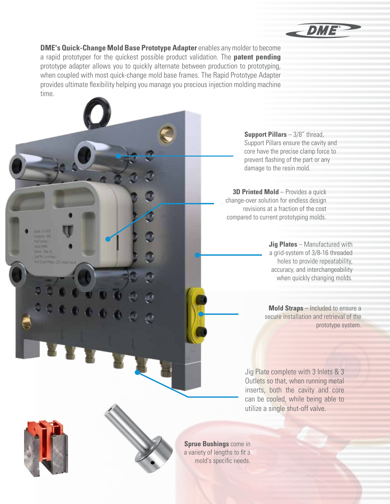

**DME's Quick-Change Mold Base Prototype Adapter** enables any molder to become a rapid prototyper for the quickest possible product validation. The **patent pending** prototype adapter allows you to quickly alternate between production to prototyping, when coupled with most quick-change mold base frames. The Rapid Prototype Adapter provides ultimate flexibility helping you manage you precious injection molding machine time.

> **Support Pillars** – 3/8" thread, Support Pillars ensure the cavity and core have the precise clamp force to prevent flashing of the part or any damage to the resin mold.

**3D Printed Mold** – Provides a quick change-over solution for endless design revisions at a fraction of the cost compared to current prototyping molds.

> **Jig Plates** – Manufactured with a grid-system of 3/8-16 threaded holes to provide repeatability, accuracy, and interchangeability when quickly changing molds.

**Mold Straps** – Included to ensure a secure installation and retrieval of the prototype system.

Jig Plate complete with 3 Inlets & 3 Outlets so that, when running metal inserts, both the cavity and core can be cooled, while being able to utilize a single shut-off valve.



**Sprue Bushings** come in a variety of lengths to fit a mold's specific needs.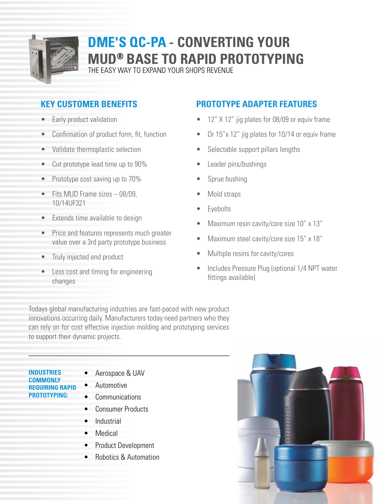

## **DME'S QC-PA - CONVERTING YOUR MUD® BASE TO RAPID PROTOTYPING**

THE EASY WAY TO EXPAND YOUR SHOPS REVENUE

## **KEY CUSTOMER BENEFITS**

- Early product validation
- Confirmation of product form, fit, function
- Validate thermoplastic selection
- Cut prototype lead time up to 90%
- Prototype cost saving up to 70%
- Fits MUD Frame sizes 08/09, 10/14UF321
- Extends time available to design
- Price and features represents much greater value over a 3rd party prototype business
- Truly injected end product
- Less cost and timing for engineering changes

#### **PROTOTYPE ADAPTER FEATURES**

- 12" X 12" jig plates for 08/09 or equiv frame
- Or 15"x 12" jig plates for 10/14 or equiv frame
- Selectable support pillars lengths
- Leader pins/bushings
- Sprue bushing
- Mold straps
- **Eyebolts**
- Maximum resin cavity/core size 10" x 13"
- Maximum steel cavity/core size 15" x 18"
- Multiple resins for cavity/cores
- Includes Pressure Plug (optional 1/4 NPT water fittings available)

Todays global manufacturing industries are fast-paced with new product innovations occurring daily. Manufacturers today need partners who they can rely on for cost effective injection molding and prototyping services to support their dynamic projects.

#### **INDUSTRIES COMMONLY REQUIRING RAPID PROTOTYPING:**

- Aerospace & UAV
- Automotive
- Communications
- Consumer Products
- Industrial
- Medical
- Product Development
- Robotics & Automation

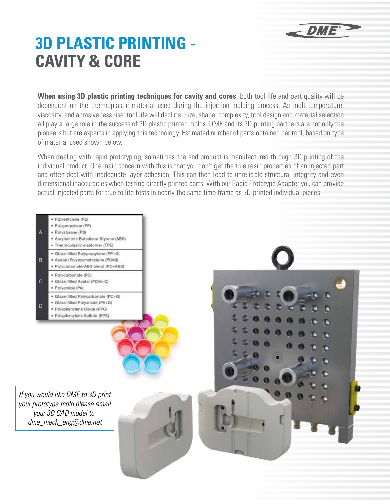## DME®

## **3D PLASTIC PRINTING - CAVITY & CORE**

**When using 3D plastic printing techniques for cavity and cores**, both tool life and part quality will be dependent on the thermoplastic material used during the injection molding process. As melt temperature, viscosity, and abrasiveness rise; tool life will decline. Size, shape, complexity, tool design and material selection all play a large role in the success of 3D plastic printed molds. DME and its 3D printing partners are not only the pioneers but are experts in applying this technology. Estimated number of parts obtained per tool, based on type of material used shown below.

When dealing with rapid prototyping, sometimes the end product is manufactured through 3D printing of the individual product. One main concern with this is that you don't get the true resin properties of an injected part and often deal with inadequate layer adhesion. This can then lead to unreliable structural integrity and even dimensional inaccuracies when testing directly printed parts. With our Rapid Prototype Adapter you can provide actual injected parts for true to life tests in nearly the same time frame as 3D printed individual pieces.

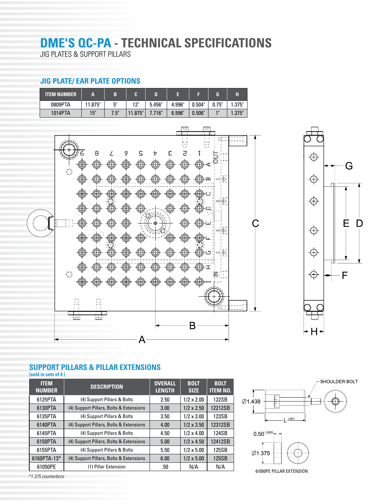## **DME'S QC-PA - TECHNICAL SPECIFICATIONS**

JIG PLATES & SUPPORT PILLARS

#### **JIG PLATE/ EAR PLATE OPTIONS**

| <b>ITEM NUMBER</b> | A       |      |         |        |        |        | ገ     |        |
|--------------------|---------|------|---------|--------|--------|--------|-------|--------|
| 0809PTA            | 11.875" | г"   | 12"     | 5.456" | 4.996" | 0.504" | 0.75" | 1.375" |
| 1014PTA            | 15"     | 7.5" | 11.875" | 7.716" | 6.996" | 0.506" | 4H    | 1.375" |





#### **SUPPORT PILLARS & PILLAR EXTENSIONS**

**(sold in sets of 4 )**

| <b>ITEM</b><br><b>NUMBER</b> | <b>DESCRIPTION</b>                      | <b>OVERALL</b><br><b>LENGTH</b> | <b>BOLT</b><br><b>SIZE</b> | <b>BOLT</b><br><b>ITEM NO.</b> |
|------------------------------|-----------------------------------------|---------------------------------|----------------------------|--------------------------------|
| 6125PTA                      | (4) Support Pillars & Bolts             | 2.50                            | $1/2 \times 2.00$          | 122SB                          |
| 6130PTA                      | (4) Support Pillars, Bolts & Extensions | 3.00                            | $1/2 \times 2.50$          | 12212SB                        |
| 6135PTA                      | (4) Support Pillars & Bolts             | 3.50                            | $1/2 \times 3.00$          | 123SB                          |
| 6140PTA                      | (4) Support Pillars, Bolts & Extensions | 4.00                            | $1/2 \times 3.50$          | 12312SB                        |
| 6145PTA                      | (4) Support Pillars & Bolts             | 4.50                            | $1/2 \times 4.00$          | 124SB                          |
| 6150PTA                      | (4) Support Pillars, Bolts & Extensions | 5.00                            | $1/2 \times 4.50$          | 12412SB                        |
| 6155PTA                      | (4) Support Pillars & Bolts             | 5.50                            | $1/2 \times 5.00$          | 125SB                          |
| 6160PTA-13*                  | (4) Support Pillars, Bolts & Extensions | 6.00                            | $1/2 \times 5.00$          | 125SB                          |
| 61050PE                      | (1) Pillar Extension                    | .50                             | N/A                        | N/A                            |



*\*1.375 counterbore*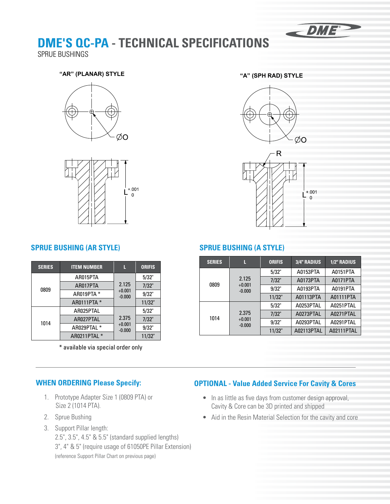

## **DME'S QC-PA - TECHNICAL SPECIFICATIONS**

SPRUE BUSHINGS

#### **"AR" (PLANAR) STYLE "A" (SPH RAD) STYLE "AR" (PLANAR) STYLE "A" (SPH RAD) STYLE**









#### **SPRUE BUSHING (AR STYLE) SPRUE BUSHING (A STYLE)**

| <b>SERIES</b> | <b>ITEM NUMBER</b> |                      | <b>ORIFIS</b> |
|---------------|--------------------|----------------------|---------------|
|               | AR015PTA           |                      | 5/32"         |
| 0809          | AR017PTA           | 2.125                | 7/32"         |
|               | AR019PTA *         | $+0.001$<br>$-0.000$ | 9/32"         |
|               | AR0111PTA *        |                      | 11/32"        |
|               | AR025PTAL          |                      | 5/32"         |
| 1014          | AR027PTAL          | 2.375                | 7/32"         |
|               | AR029PTAL *        | $+0.001$<br>$-0.000$ | 9/32"         |
|               | AR0211PTAL *       |                      | 11/32"        |

\* available via special order only

| <b>SERIES</b> | П                             | <b>ORIFIS</b> | <b>3/4" RADIUS</b> | <b>1/2" RADIUS</b> |
|---------------|-------------------------------|---------------|--------------------|--------------------|
|               | 2.125<br>$+0.001$<br>$-0.000$ | 5/32"         | A0153PTA           | A0151PTA           |
| 0809          |                               | 7/32"         | A0173PTA           | A0171PTA           |
|               |                               | 9/32"         | A0193PTA           | A0191PTA           |
|               |                               | 11/32"        | A01113PTA          | A01111PTA          |
|               |                               | 5/32"         | A0253PTAL          | A0251PTAL          |
| 1014          | 2.375<br>$+0.001$<br>$-0.000$ | 7/32"         | A0273PTAL          | A0271PTAL          |
|               |                               | 9/32"         | A0293PTAL          | A0291PTAL          |
|               |                               | 11/32"        | A02113PTAL         | A02111PTAL         |

#### **WHEN ORDERING Please Specify:**

- 1. Prototype Adapter Size 1 (0809 PTA) or Size 2 (1014 PTA).
- 2. Sprue Bushing
- 3. Support Pillar length: 2.5", 3.5", 4.5" & 5.5" (standard supplied lengths) 3", 4" & 5" (require usage of 61050PE Pillar Extension) (reference Support Pillar Chart on previous page)

#### **OPTIONAL - Value Added Service For Cavity & Cores**

- In as little as five days from customer design approval, Cavity & Core can be 3D printed and shipped
- Aid in the Resin Material Selection for the cavity and core